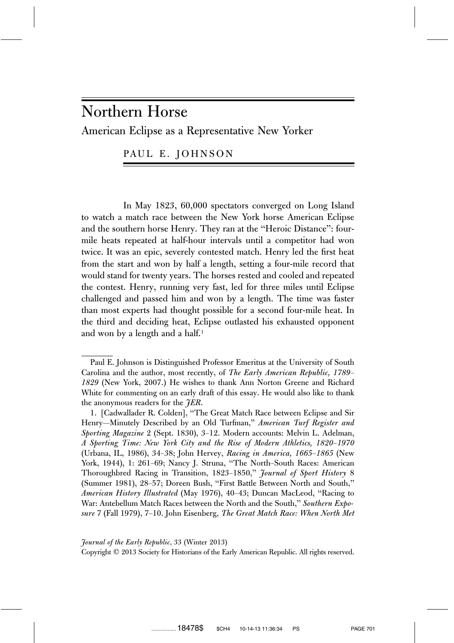# Northern Horse

American Eclipse as a Representative New Yorker

PAUL E. JOHNSON

In May 1823, 60,000 spectators converged on Long Island to watch a match race between the New York horse American Eclipse and the southern horse Henry. They ran at the "Heroic Distance": fourmile heats repeated at half-hour intervals until a competitor had won twice. It was an epic, severely contested match. Henry led the first heat from the start and won by half a length, setting a four-mile record that would stand for twenty years. The horses rested and cooled and repeated the contest. Henry, running very fast, led for three miles until Eclipse challenged and passed him and won by a length. The time was faster than most experts had thought possible for a second four-mile heat. In the third and deciding heat, Eclipse outlasted his exhausted opponent and won by a length and a half.<sup>1</sup>

*Journal of the Early Republic*, 33 (Winter 2013)

Copyright © 2013 Society for Historians of the Early American Republic. All rights reserved.

Paul E. Johnson is Distinguished Professor Emeritus at the University of South Carolina and the author, most recently, of *The Early American Republic, 1789– 1829* (New York, 2007.) He wishes to thank Ann Norton Greene and Richard White for commenting on an early draft of this essay. He would also like to thank the anonymous readers for the *JER*.

<sup>1. [</sup>Cadwallader R. Colden], ''The Great Match Race between Eclipse and Sir Henry—Minutely Described by an Old Turfman,'' *American Turf Register and Sporting Magazine* 2 (Sept. 1830), 3–12. Modern accounts: Melvin L. Adelman, *A Sporting Time: New York City and the Rise of Modern Athletics, 1820–1970* (Urbana, IL, 1986), 34–38; John Hervey, *Racing in America, 1665–1865* (New York, 1944), 1: 261–69; Nancy J. Struna, ''The North–South Races: American Thoroughbred Racing in Transition, 1823–1850,'' *Journal of Sport History* 8 (Summer 1981), 28–57; Doreen Bush, ''First Battle Between North and South,'' *American History Illustrated* (May 1976), 40–43; Duncan MacLeod, ''Racing to War: Antebellum Match Races between the North and the South,'' *Southern Exposure* 7 (Fall 1979), 7–10. John Eisenberg, *The Great Match Race: When North Met*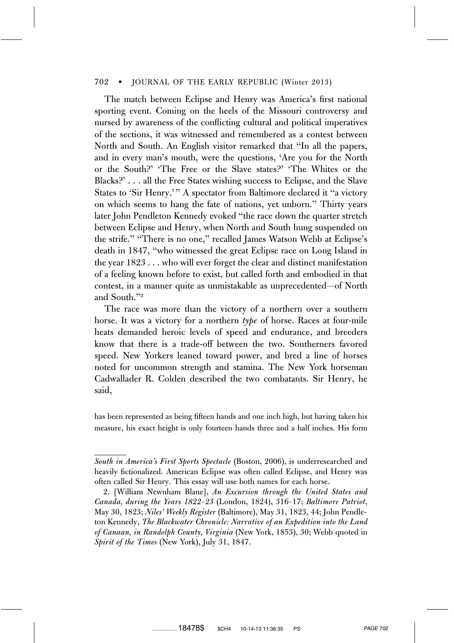#### 702 • JOURNAL OF THE EARLY REPUBLIC (Winter 2013)

The match between Eclipse and Henry was America's first national sporting event. Coming on the heels of the Missouri controversy and nursed by awareness of the conflicting cultural and political imperatives of the sections, it was witnessed and remembered as a contest between North and South. An English visitor remarked that ''In all the papers, and in every man's mouth, were the questions, 'Are you for the North or the South?' 'The Free or the Slave states?' 'The Whites or the Blacks?' . . . all the Free States wishing success to Eclipse, and the Slave States to 'Sir Henry.'" A spectator from Baltimore declared it "a victory on which seems to hang the fate of nations, yet unborn.'' Thirty years later John Pendleton Kennedy evoked ''the race down the quarter stretch between Eclipse and Henry, when North and South hung suspended on the strife.'' ''There is no one,'' recalled James Watson Webb at Eclipse's death in 1847, ''who witnessed the great Eclipse race on Long Island in the year 1823 . . . who will ever forget the clear and distinct manifestation of a feeling known before to exist, but called forth and embodied in that contest, in a manner quite as unmistakable as unprecedented—of North and South.''2

The race was more than the victory of a northern over a southern horse. It was a victory for a northern *type* of horse. Races at four-mile heats demanded heroic levels of speed and endurance, and breeders know that there is a trade-off between the two. Southerners favored speed. New Yorkers leaned toward power, and bred a line of horses noted for uncommon strength and stamina. The New York horseman Cadwallader R. Colden described the two combatants. Sir Henry, he said,

has been represented as being fifteen hands and one inch high, but having taken his measure, his exact height is only fourteen hands three and a half inches. His form

*South in America's First Sports Spectacle* (Boston, 2006), is underresearched and heavily fictionalized. American Eclipse was often called Eclipse, and Henry was often called Sir Henry. This essay will use both names for each horse.

<sup>2. [</sup>William Newnham Blane], *An Excursion through the United States and Canada, during the Years 1822–23* (London, 1824), 316–17; *Baltimore Patriot*, May 30, 1823; *Niles' Weekly Register* (Baltimore), May 31, 1823, 44; John Pendleton Kennedy, *The Blackwater Chronicle: Narrative of an Expedition into the Land of Canaan, in Randolph County, Virginia* (New York, 1853), 30; Webb quoted in *Spirit of the Times* (New York), July 31, 1847.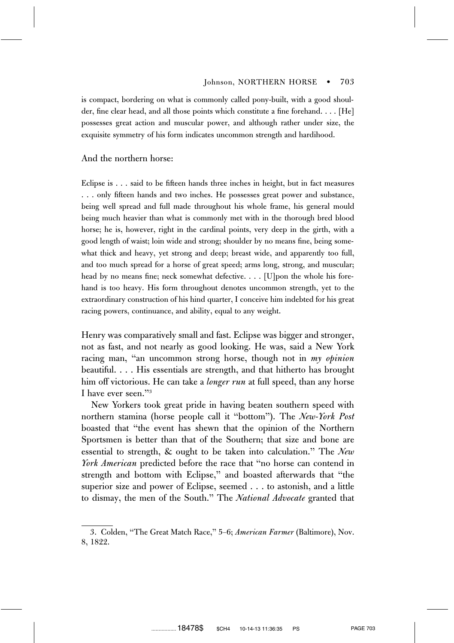is compact, bordering on what is commonly called pony-built, with a good shoulder, fine clear head, and all those points which constitute a fine forehand. . . . [He] possesses great action and muscular power, and although rather under size, the exquisite symmetry of his form indicates uncommon strength and hardihood.

## And the northern horse:

Eclipse is . . . said to be fifteen hands three inches in height, but in fact measures . . . only fifteen hands and two inches. He possesses great power and substance, being well spread and full made throughout his whole frame, his general mould being much heavier than what is commonly met with in the thorough bred blood horse; he is, however, right in the cardinal points, very deep in the girth, with a good length of waist; loin wide and strong; shoulder by no means fine, being somewhat thick and heavy, yet strong and deep; breast wide, and apparently too full, and too much spread for a horse of great speed; arms long, strong, and muscular; head by no means fine; neck somewhat defective. . . . [U]pon the whole his forehand is too heavy. His form throughout denotes uncommon strength, yet to the extraordinary construction of his hind quarter, I conceive him indebted for his great racing powers, continuance, and ability, equal to any weight.

Henry was comparatively small and fast. Eclipse was bigger and stronger, not as fast, and not nearly as good looking. He was, said a New York racing man, ''an uncommon strong horse, though not in *my opinion* beautiful. . . . His essentials are strength, and that hitherto has brought him off victorious. He can take a *longer run* at full speed, than any horse I have ever seen.''3

New Yorkers took great pride in having beaten southern speed with northern stamina (horse people call it ''bottom''). The *New-York Post* boasted that ''the event has shewn that the opinion of the Northern Sportsmen is better than that of the Southern; that size and bone are essential to strength, & ought to be taken into calculation.'' The *New York American* predicted before the race that ''no horse can contend in strength and bottom with Eclipse,'' and boasted afterwards that ''the superior size and power of Eclipse, seemed . . . to astonish, and a little to dismay, the men of the South.'' The *National Advocate* granted that

<sup>3.</sup> Colden, ''The Great Match Race,'' 5–6; *American Farmer* (Baltimore), Nov. 8, 1822.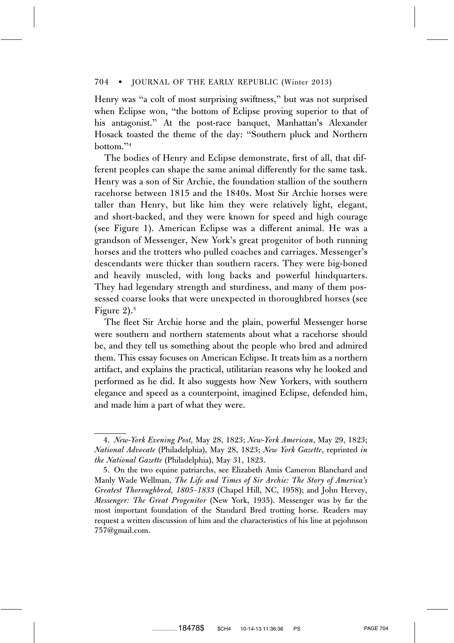Henry was "a colt of most surprising swiftness," but was not surprised when Eclipse won, "the bottom of Eclipse proving superior to that of his antagonist.'' At the post-race banquet, Manhattan's Alexander Hosack toasted the theme of the day: ''Southern pluck and Northern bottom.''4

The bodies of Henry and Eclipse demonstrate, first of all, that different peoples can shape the same animal differently for the same task. Henry was a son of Sir Archie, the foundation stallion of the southern racehorse between 1815 and the 1840s. Most Sir Archie horses were taller than Henry, but like him they were relatively light, elegant, and short-backed, and they were known for speed and high courage (see Figure 1). American Eclipse was a different animal. He was a grandson of Messenger, New York's great progenitor of both running horses and the trotters who pulled coaches and carriages. Messenger's descendants were thicker than southern racers. They were big-boned and heavily muscled, with long backs and powerful hindquarters. They had legendary strength and sturdiness, and many of them possessed coarse looks that were unexpected in thoroughbred horses (see Figure 2). $5$ 

The fleet Sir Archie horse and the plain, powerful Messenger horse were southern and northern statements about what a racehorse should be, and they tell us something about the people who bred and admired them. This essay focuses on American Eclipse. It treats him as a northern artifact, and explains the practical, utilitarian reasons why he looked and performed as he did. It also suggests how New Yorkers, with southern elegance and speed as a counterpoint, imagined Eclipse, defended him, and made him a part of what they were.

<sup>4.</sup> *New-York Evening Post,* May 28, 1823; *New-York American*, May 29, 1823; *National Advocate* (Philadelphia), May 28, 1823; *New York Gazette*, reprinted *in the National Gazette* (Philadelphia), May 31, 1823.

<sup>5.</sup> On the two equine patriarchs, see Elizabeth Amis Cameron Blanchard and Manly Wade Wellman, *The Life and Times of Sir Archie: The Story of America's Greatest Thoroughbred, 1805–1833* (Chapel Hill, NC, 1958); and John Hervey, *Messenger: The Great Progenitor* (New York, 1935). Messenger was by far the most important foundation of the Standard Bred trotting horse. Readers may request a written discussion of him and the characteristics of his line at pejohnson 757@gmail.com.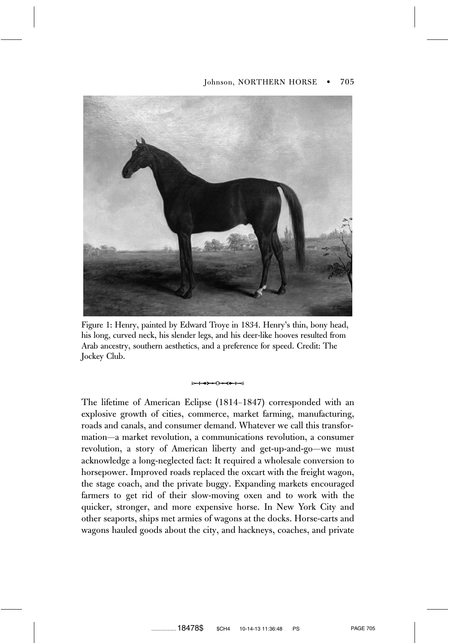

Figure 1: Henry, painted by Edward Troye in 1834. Henry's thin, bony head, his long, curved neck, his slender legs, and his deer-like hooves resulted from Arab ancestry, southern aesthetics, and a preference for speed. Credit: The Jockey Club.  $\rightarrow 0.0001$ 

The lifetime of American Eclipse (1814–1847) corresponded with an explosive growth of cities, commerce, market farming, manufacturing, roads and canals, and consumer demand. Whatever we call this transformation—a market revolution, a communications revolution, a consumer revolution, a story of American liberty and get-up-and-go—we must acknowledge a long-neglected fact: It required a wholesale conversion to horsepower. Improved roads replaced the oxcart with the freight wagon, the stage coach, and the private buggy. Expanding markets encouraged farmers to get rid of their slow-moving oxen and to work with the quicker, stronger, and more expensive horse. In New York City and other seaports, ships met armies of wagons at the docks. Horse-carts and wagons hauled goods about the city, and hackneys, coaches, and private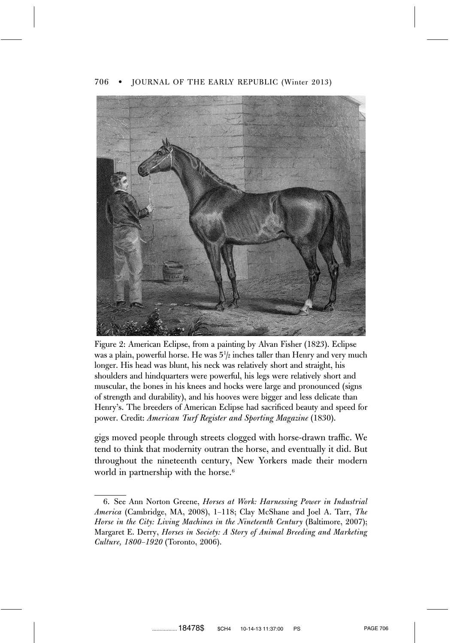

Figure 2: American Eclipse, from a painting by Alvan Fisher (1823). Eclipse was a plain, powerful horse. He was  $5\frac{1}{2}$  inches taller than Henry and very much longer. His head was blunt, his neck was relatively short and straight, his shoulders and hindquarters were powerful, his legs were relatively short and muscular, the bones in his knees and hocks were large and pronounced (signs of strength and durability), and his hooves were bigger and less delicate than Henry's. The breeders of American Eclipse had sacrificed beauty and speed for power. Credit: *American Turf Register and Sporting Magazine* (1830).

gigs moved people through streets clogged with horse-drawn traffic. We tend to think that modernity outran the horse, and eventually it did. But throughout the nineteenth century, New Yorkers made their modern world in partnership with the horse.<sup>6</sup>

<sup>6.</sup> See Ann Norton Greene, *Horses at Work: Harnessing Power in Industrial America* (Cambridge, MA, 2008), 1–118; Clay McShane and Joel A. Tarr, *The Horse in the City: Living Machines in the Nineteenth Century* (Baltimore, 2007); Margaret E. Derry, *Horses in Society: A Story of Animal Breeding and Marketing Culture, 1800–1920* (Toronto, 2006).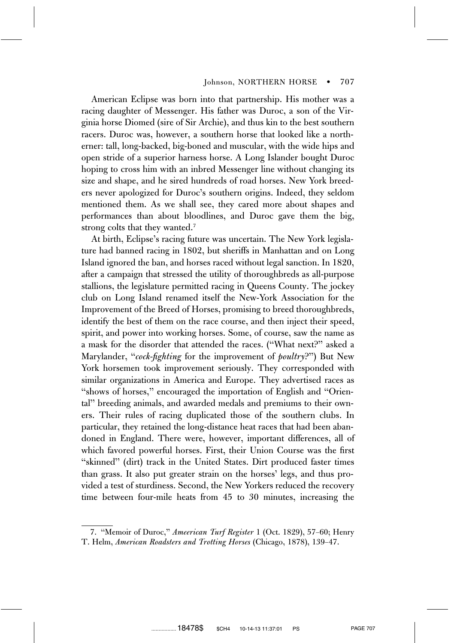American Eclipse was born into that partnership. His mother was a racing daughter of Messenger. His father was Duroc, a son of the Virginia horse Diomed (sire of Sir Archie), and thus kin to the best southern racers. Duroc was, however, a southern horse that looked like a northerner: tall, long-backed, big-boned and muscular, with the wide hips and open stride of a superior harness horse. A Long Islander bought Duroc hoping to cross him with an inbred Messenger line without changing its size and shape, and he sired hundreds of road horses. New York breeders never apologized for Duroc's southern origins. Indeed, they seldom mentioned them. As we shall see, they cared more about shapes and performances than about bloodlines, and Duroc gave them the big, strong colts that they wanted.<sup>7</sup>

At birth, Eclipse's racing future was uncertain. The New York legislature had banned racing in 1802, but sheriffs in Manhattan and on Long Island ignored the ban, and horses raced without legal sanction. In 1820, after a campaign that stressed the utility of thoroughbreds as all-purpose stallions, the legislature permitted racing in Queens County. The jockey club on Long Island renamed itself the New-York Association for the Improvement of the Breed of Horses, promising to breed thoroughbreds, identify the best of them on the race course, and then inject their speed, spirit, and power into working horses. Some, of course, saw the name as a mask for the disorder that attended the races. (''What next?'' asked a Marylander, ''*cock-fighting* for the improvement of *poultry*?'') But New York horsemen took improvement seriously. They corresponded with similar organizations in America and Europe. They advertised races as "shows of horses," encouraged the importation of English and "Oriental'' breeding animals, and awarded medals and premiums to their owners. Their rules of racing duplicated those of the southern clubs. In particular, they retained the long-distance heat races that had been abandoned in England. There were, however, important differences, all of which favored powerful horses. First, their Union Course was the first "skinned" (dirt) track in the United States. Dirt produced faster times than grass. It also put greater strain on the horses' legs, and thus provided a test of sturdiness. Second, the New Yorkers reduced the recovery time between four-mile heats from 45 to 30 minutes, increasing the

<sup>7. &#</sup>x27;'Memoir of Duroc,'' *Ameerican Turf Register* 1 (Oct. 1829), 57–60; Henry T. Helm, *American Roadsters and Trotting Horses* (Chicago, 1878), 139–47.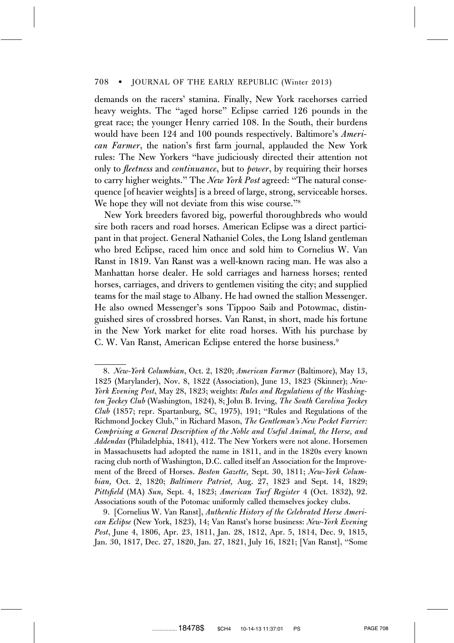### 708 • JOURNAL OF THE EARLY REPUBLIC (Winter 2013)

demands on the racers' stamina. Finally, New York racehorses carried heavy weights. The ''aged horse'' Eclipse carried 126 pounds in the great race; the younger Henry carried 108. In the South, their burdens would have been 124 and 100 pounds respectively. Baltimore's *American Farmer*, the nation's first farm journal, applauded the New York rules: The New Yorkers ''have judiciously directed their attention not only to *fleetness* and *continuance*, but to *power*, by requiring their horses to carry higher weights.'' The *New York Post* agreed: ''The natural consequence [of heavier weights] is a breed of large, strong, serviceable horses. We hope they will not deviate from this wise course."<sup>8</sup>

New York breeders favored big, powerful thoroughbreds who would sire both racers and road horses. American Eclipse was a direct participant in that project. General Nathaniel Coles, the Long Island gentleman who bred Eclipse, raced him once and sold him to Cornelius W. Van Ranst in 1819. Van Ranst was a well-known racing man. He was also a Manhattan horse dealer. He sold carriages and harness horses; rented horses, carriages, and drivers to gentlemen visiting the city; and supplied teams for the mail stage to Albany. He had owned the stallion Messenger. He also owned Messenger's sons Tippoo Saib and Potowmac, distinguished sires of crossbred horses. Van Ranst, in short, made his fortune in the New York market for elite road horses. With his purchase by C. W. Van Ranst, American Eclipse entered the horse business.9

<sup>8.</sup> *New-York Columbian*, Oct. 2, 1820; *American Farmer* (Baltimore), May 13, 1825 (Marylander), Nov. 8, 1822 (Association), June 13, 1823 (Skinner); *New-York Evening Post*, May 28, 1823; weights: *Rules and Regulations of the Washington Jockey Club* (Washington, 1824), 8; John B. Irving, *The South Carolina Jockey Club* (1857; repr. Spartanburg, SC, 1975), 191; ''Rules and Regulations of the Richmond Jockey Club,'' in Richard Mason, *The Gentleman's New Pocket Farrier: Comprising a General Description of the Noble and Useful Animal, the Horse, and Addendas* (Philadelphia, 1841), 412. The New Yorkers were not alone. Horsemen in Massachusetts had adopted the name in 1811, and in the 1820s every known racing club north of Washington, D.C. called itself an Association for the Improvement of the Breed of Horses. *Boston Gazette,* Sept. 30, 1811; *New-York Columbian,* Oct. 2, 1820; *Baltimore Patriot,* Aug. 27, 1823 and Sept. 14, 1829; *Pittsfield* (MA) *Sun,* Sept. 4, 1823; *American Turf Register* 4 (Oct. 1832), 92. Associations south of the Potomac uniformly called themselves jockey clubs.

<sup>9. [</sup>Cornelius W. Van Ranst], *Authentic History of the Celebrated Horse American Eclipse* (New York, 1823), 14; Van Ranst's horse business: *New-York Evening Post*, June 4, 1806, Apr. 23, 1811, Jan. 28, 1812, Apr. 5, 1814, Dec. 9, 1815, Jan. 30, 1817, Dec. 27, 1820, Jan. 27, 1821, July 16, 1821; [Van Ranst], ''Some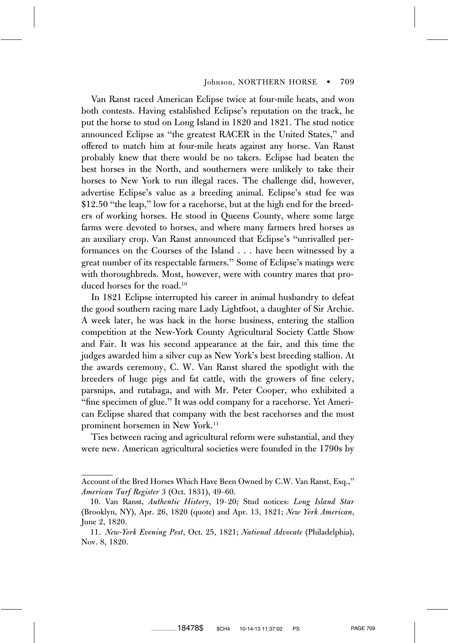Van Ranst raced American Eclipse twice at four-mile heats, and won both contests. Having established Eclipse's reputation on the track, he put the horse to stud on Long Island in 1820 and 1821. The stud notice announced Eclipse as ''the greatest RACER in the United States,'' and offered to match him at four-mile heats against any horse. Van Ranst probably knew that there would be no takers. Eclipse had beaten the best horses in the North, and southerners were unlikely to take their horses to New York to run illegal races. The challenge did, however, advertise Eclipse's value as a breeding animal. Eclipse's stud fee was \$12.50 "the leap," low for a racehorse, but at the high end for the breeders of working horses. He stood in Queens County, where some large farms were devoted to horses, and where many farmers bred horses as an auxiliary crop. Van Ranst announced that Eclipse's ''unrivalled performances on the Courses of the Island . . . have been witnessed by a great number of its respectable farmers.'' Some of Eclipse's matings were with thoroughbreds. Most, however, were with country mares that produced horses for the road.10

In 1821 Eclipse interrupted his career in animal husbandry to defeat the good southern racing mare Lady Lightfoot, a daughter of Sir Archie. A week later, he was back in the horse business, entering the stallion competition at the New-York County Agricultural Society Cattle Show and Fair. It was his second appearance at the fair, and this time the judges awarded him a silver cup as New York's best breeding stallion. At the awards ceremony, C. W. Van Ranst shared the spotlight with the breeders of huge pigs and fat cattle, with the growers of fine celery, parsnips, and rutabaga, and with Mr. Peter Cooper, who exhibited a "fine specimen of glue." It was odd company for a racehorse. Yet American Eclipse shared that company with the best racehorses and the most prominent horsemen in New York.11

Ties between racing and agricultural reform were substantial, and they were new. American agricultural societies were founded in the 1790s by

Account of the Bred Horses Which Have Been Owned by C.W. Van Ranst, Esq.,'' *American Turf Register* 3 (Oct. 1831), 49–60.

<sup>10.</sup> Van Ranst, *Authentic History*, 19–20; Stud notices: *Long Island Star* (Brooklyn, NY), Apr. 26, 1820 (quote) and Apr. 13, 1821; *New York American*, June 2, 1820.

<sup>11.</sup> *New-York Evening Post*, Oct. 25, 1821; *National Advocate* (Philadelphia), Nov. 8, 1820.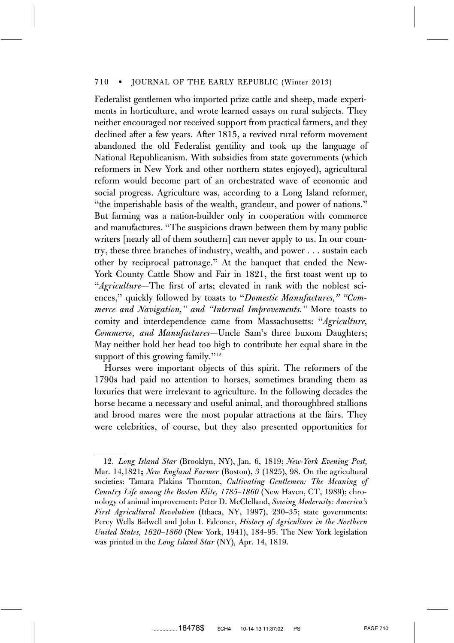Federalist gentlemen who imported prize cattle and sheep, made experiments in horticulture, and wrote learned essays on rural subjects. They neither encouraged nor received support from practical farmers, and they declined after a few years. After 1815, a revived rural reform movement abandoned the old Federalist gentility and took up the language of National Republicanism. With subsidies from state governments (which reformers in New York and other northern states enjoyed), agricultural reform would become part of an orchestrated wave of economic and social progress. Agriculture was, according to a Long Island reformer, ''the imperishable basis of the wealth, grandeur, and power of nations.'' But farming was a nation-builder only in cooperation with commerce and manufactures. ''The suspicions drawn between them by many public writers [nearly all of them southern] can never apply to us. In our country, these three branches of industry, wealth, and power . . . sustain each other by reciprocal patronage.'' At the banquet that ended the New-York County Cattle Show and Fair in 1821, the first toast went up to ''*Agriculture*—The first of arts; elevated in rank with the noblest sciences,'' quickly followed by toasts to ''*Domestic Manufactures,'' ''Commerce and Navigation,'' and ''Internal Improvements.''* More toasts to comity and interdependence came from Massachusetts: ''*Agriculture, Commerce, and Manufactures—*Uncle Sam's three buxom Daughters; May neither hold her head too high to contribute her equal share in the support of this growing family."<sup>12</sup>

Horses were important objects of this spirit. The reformers of the 1790s had paid no attention to horses, sometimes branding them as luxuries that were irrelevant to agriculture. In the following decades the horse became a necessary and useful animal, and thoroughbred stallions and brood mares were the most popular attractions at the fairs. They were celebrities, of course, but they also presented opportunities for

<sup>12.</sup> *Long Island Star* (Brooklyn, NY), Jan. 6, 1819; *New-York Evening Post,* Mar. 14,1821**;** *New England Farmer* (Boston), 3 (1825), 98. On the agricultural societies: Tamara Plakins Thornton, *Cultivating Gentlemen: The Meaning of Country Life among the Boston Elite, 1785–1860* (New Haven, CT, 1989); chronology of animal improvement: Peter D. McClelland, *Sowing Modernity: America's First Agricultural Revolution* (Ithaca, NY, 1997), 230–35; state governments: Percy Wells Bidwell and John I. Falconer, *History of Agriculture in the Northern United States, 1620–1860* (New York, 1941), 184–95. The New York legislation was printed in the *Long Island Star* (NY)*,* Apr. 14, 1819.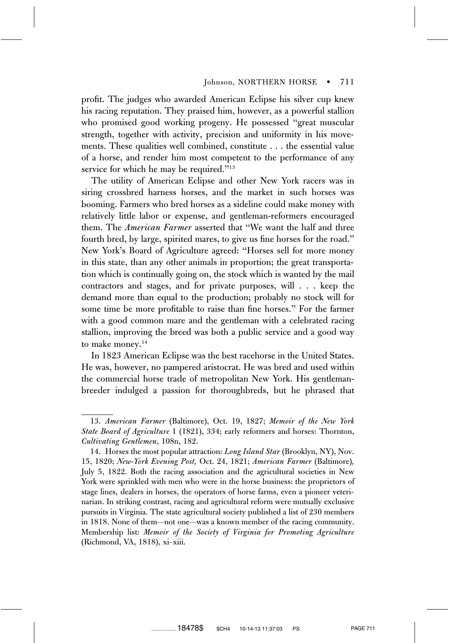profit. The judges who awarded American Eclipse his silver cup knew his racing reputation. They praised him, however, as a powerful stallion who promised good working progeny. He possessed ''great muscular strength, together with activity, precision and uniformity in his movements. These qualities well combined, constitute . . . the essential value of a horse, and render him most competent to the performance of any service for which he may be required."<sup>13</sup>

The utility of American Eclipse and other New York racers was in siring crossbred harness horses, and the market in such horses was booming. Farmers who bred horses as a sideline could make money with relatively little labor or expense, and gentleman-reformers encouraged them. The *American Farmer* asserted that ''We want the half and three fourth bred, by large, spirited mares, to give us fine horses for the road.'' New York's Board of Agriculture agreed: ''Horses sell for more money in this state, than any other animals in proportion; the great transportation which is continually going on, the stock which is wanted by the mail contractors and stages, and for private purposes, will . . . keep the demand more than equal to the production; probably no stock will for some time be more profitable to raise than fine horses.'' For the farmer with a good common mare and the gentleman with a celebrated racing stallion, improving the breed was both a public service and a good way to make money.<sup>14</sup>

In 1823 American Eclipse was the best racehorse in the United States. He was, however, no pampered aristocrat. He was bred and used within the commercial horse trade of metropolitan New York. His gentlemanbreeder indulged a passion for thoroughbreds, but he phrased that

<sup>13.</sup> *American Farmer* (Baltimore), Oct. 19, 1827; *Memoir of the New York State Board of Agriculture* 1 (1821), 334; early reformers and horses: Thornton, *Cultivating Gentlemen*, 108n, 182.

<sup>14.</sup> Horses the most popular attraction: *Long Island Star* (Brooklyn, NY), Nov. 15, 1820; *New-York Evening Post,* Oct. 24, 1821; *American Farmer* (Baltimore)*,* July 5, 1822. Both the racing association and the agricultural societies in New York were sprinkled with men who were in the horse business: the proprietors of stage lines, dealers in horses, the operators of horse farms, even a pioneer veterinarian. In striking contrast, racing and agricultural reform were mutually exclusive pursuits in Virginia. The state agricultural society published a list of 230 members in 1818. None of them—not one—was a known member of the racing community. Membership list: *Memoir of the Society of Virginia for Promoting Agriculture* (Richmond, VA, 1818), xi–xiii.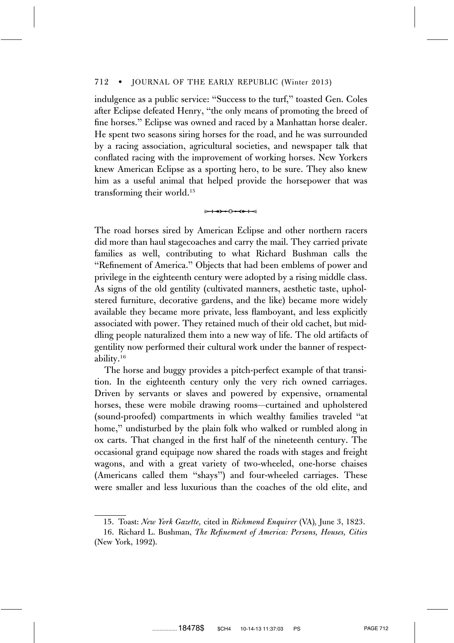indulgence as a public service: ''Success to the turf,'' toasted Gen. Coles after Eclipse defeated Henry, ''the only means of promoting the breed of fine horses.'' Eclipse was owned and raced by a Manhattan horse dealer. He spent two seasons siring horses for the road, and he was surrounded by a racing association, agricultural societies, and newspaper talk that conflated racing with the improvement of working horses. New Yorkers knew American Eclipse as a sporting hero, to be sure. They also knew him as a useful animal that helped provide the horsepower that was<br>  $\begin{aligned} \text{transforming their world.}^{15} \end{aligned} \rightarrow \begin{aligned} \text{Proofs} \rightarrow \text{Proofs} \rightarrow \text{Proofs} \end{aligned}$ transforming their world. 15

 $\rightarrow + + - + + + +$ 

The road horses sired by American Eclipse and other northern racers did more than haul stagecoaches and carry the mail. They carried private families as well, contributing to what Richard Bushman calls the ''Refinement of America.'' Objects that had been emblems of power and privilege in the eighteenth century were adopted by a rising middle class. As signs of the old gentility (cultivated manners, aesthetic taste, upholstered furniture, decorative gardens, and the like) became more widely available they became more private, less flamboyant, and less explicitly associated with power. They retained much of their old cachet, but middling people naturalized them into a new way of life. The old artifacts of gentility now performed their cultural work under the banner of respectability.16

The horse and buggy provides a pitch-perfect example of that transition. In the eighteenth century only the very rich owned carriages. Driven by servants or slaves and powered by expensive, ornamental horses, these were mobile drawing rooms—curtained and upholstered (sound-proofed) compartments in which wealthy families traveled ''at home," undisturbed by the plain folk who walked or rumbled along in ox carts. That changed in the first half of the nineteenth century. The occasional grand equipage now shared the roads with stages and freight wagons, and with a great variety of two-wheeled, one-horse chaises (Americans called them ''shays'') and four-wheeled carriages. These were smaller and less luxurious than the coaches of the old elite, and

<sup>15.</sup> Toast: *New York Gazette,* cited in *Richmond Enquirer* (VA)*,* June 3, 1823.

<sup>16.</sup> Richard L. Bushman, *The Refinement of America: Persons, Houses, Cities* (New York, 1992).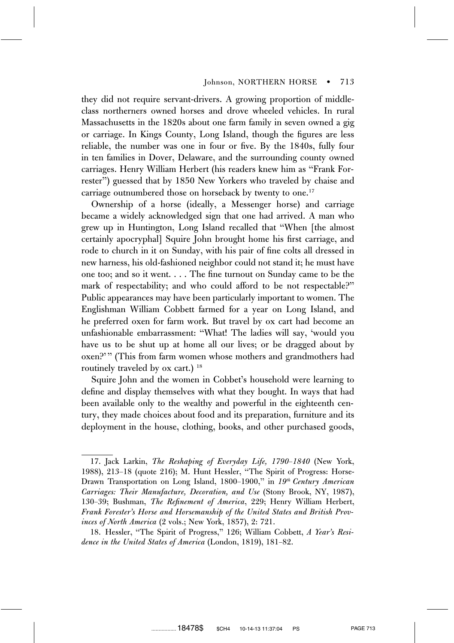they did not require servant-drivers. A growing proportion of middleclass northerners owned horses and drove wheeled vehicles. In rural Massachusetts in the 1820s about one farm family in seven owned a gig or carriage. In Kings County, Long Island, though the figures are less reliable, the number was one in four or five. By the 1840s, fully four in ten families in Dover, Delaware, and the surrounding county owned carriages. Henry William Herbert (his readers knew him as ''Frank Forrester'') guessed that by 1850 New Yorkers who traveled by chaise and carriage outnumbered those on horseback by twenty to one.<sup>17</sup>

Ownership of a horse (ideally, a Messenger horse) and carriage became a widely acknowledged sign that one had arrived. A man who grew up in Huntington, Long Island recalled that ''When [the almost certainly apocryphal] Squire John brought home his first carriage, and rode to church in it on Sunday, with his pair of fine colts all dressed in new harness, his old-fashioned neighbor could not stand it; he must have one too; and so it went. . . . The fine turnout on Sunday came to be the mark of respectability; and who could afford to be not respectable?" Public appearances may have been particularly important to women. The Englishman William Cobbett farmed for a year on Long Island, and he preferred oxen for farm work. But travel by ox cart had become an unfashionable embarrassment: ''What! The ladies will say, 'would you have us to be shut up at home all our lives; or be dragged about by oxen?'" (This from farm women whose mothers and grandmothers had routinely traveled by ox cart.) <sup>18</sup>

Squire John and the women in Cobbet's household were learning to define and display themselves with what they bought. In ways that had been available only to the wealthy and powerful in the eighteenth century, they made choices about food and its preparation, furniture and its deployment in the house, clothing, books, and other purchased goods,

<sup>17.</sup> Jack Larkin, *The Reshaping of Everyday Life, 1790–1840* (New York, 1988), 213–18 (quote 216); M. Hunt Hessler, ''The Spirit of Progress: Horse-Drawn Transportation on Long Island, 1800–1900,'' in *19th Century American Carriages: Their Manufacture, Decoration, and Use* (Stony Brook, NY, 1987), 130–39; Bushman, *The Refinement of America*, 229; Henry William Herbert, *Frank Forester's Horse and Horsemanship of the United States and British Provinces of North America* (2 vols.; New York, 1857), 2: 721.

<sup>18.</sup> Hessler, ''The Spirit of Progress,'' 126; William Cobbett, *A Year's Residence in the United States of America* (London, 1819), 181–82.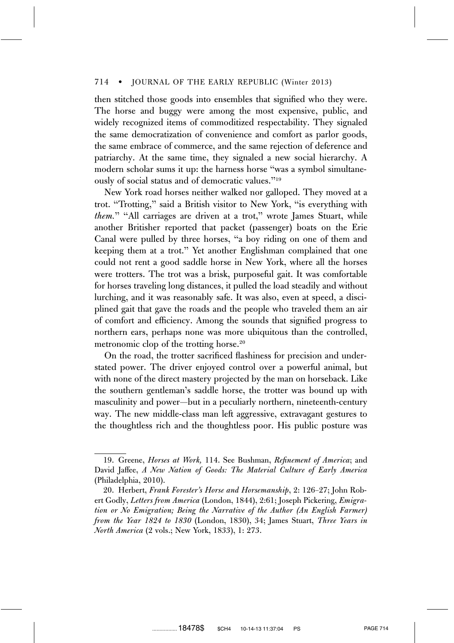then stitched those goods into ensembles that signified who they were. The horse and buggy were among the most expensive, public, and widely recognized items of commoditized respectability. They signaled the same democratization of convenience and comfort as parlor goods, the same embrace of commerce, and the same rejection of deference and patriarchy. At the same time, they signaled a new social hierarchy. A modern scholar sums it up: the harness horse ''was a symbol simultaneously of social status and of democratic values.''19

New York road horses neither walked nor galloped. They moved at a trot. ''Trotting,'' said a British visitor to New York, ''is everything with *them.*" "All carriages are driven at a trot," wrote James Stuart, while another Britisher reported that packet (passenger) boats on the Erie Canal were pulled by three horses, ''a boy riding on one of them and keeping them at a trot.'' Yet another Englishman complained that one could not rent a good saddle horse in New York, where all the horses were trotters. The trot was a brisk, purposeful gait. It was comfortable for horses traveling long distances, it pulled the load steadily and without lurching, and it was reasonably safe. It was also, even at speed, a disciplined gait that gave the roads and the people who traveled them an air of comfort and efficiency. Among the sounds that signified progress to northern ears, perhaps none was more ubiquitous than the controlled, metronomic clop of the trotting horse.20

On the road, the trotter sacrificed flashiness for precision and understated power. The driver enjoyed control over a powerful animal, but with none of the direct mastery projected by the man on horseback. Like the southern gentleman's saddle horse, the trotter was bound up with masculinity and power—but in a peculiarly northern, nineteenth-century way. The new middle-class man left aggressive, extravagant gestures to the thoughtless rich and the thoughtless poor. His public posture was

<sup>19.</sup> Greene, *Horses at Work,* 114. See Bushman, *Refinement of America*; and David Jaffee, *A New Nation of Goods: The Material Culture of Early America* (Philadelphia, 2010).

<sup>20.</sup> Herbert, *Frank Forester's Horse and Horsemanship*, 2: 126–27; John Robert Godly, *Letters from America* (London, 1844), 2:61; Joseph Pickering, *Emigration or No Emigration; Being the Narrative of the Author (An English Farmer) from the Year 1824 to 1830* (London, 1830), 34; James Stuart, *Three Years in North America* (2 vols.; New York, 1833), 1: 273.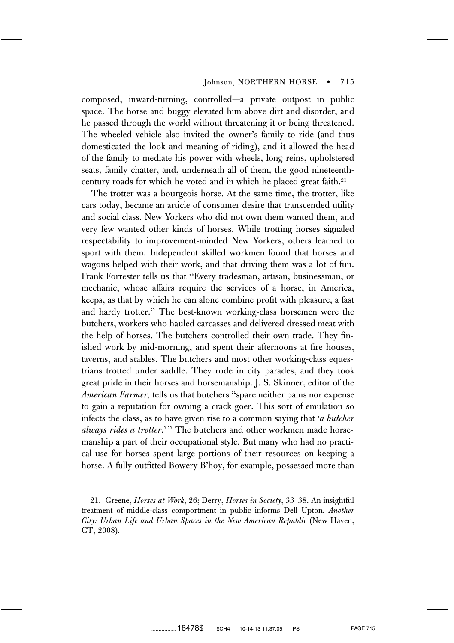composed, inward-turning, controlled—a private outpost in public space. The horse and buggy elevated him above dirt and disorder, and he passed through the world without threatening it or being threatened. The wheeled vehicle also invited the owner's family to ride (and thus domesticated the look and meaning of riding), and it allowed the head of the family to mediate his power with wheels, long reins, upholstered seats, family chatter, and, underneath all of them, the good nineteenthcentury roads for which he voted and in which he placed great faith.<sup>21</sup>

The trotter was a bourgeois horse. At the same time, the trotter, like cars today, became an article of consumer desire that transcended utility and social class. New Yorkers who did not own them wanted them, and very few wanted other kinds of horses. While trotting horses signaled respectability to improvement-minded New Yorkers, others learned to sport with them. Independent skilled workmen found that horses and wagons helped with their work, and that driving them was a lot of fun. Frank Forrester tells us that ''Every tradesman, artisan, businessman, or mechanic, whose affairs require the services of a horse, in America, keeps, as that by which he can alone combine profit with pleasure, a fast and hardy trotter.'' The best-known working-class horsemen were the butchers, workers who hauled carcasses and delivered dressed meat with the help of horses. The butchers controlled their own trade. They finished work by mid-morning, and spent their afternoons at fire houses, taverns, and stables. The butchers and most other working-class equestrians trotted under saddle. They rode in city parades, and they took great pride in their horses and horsemanship. J. S. Skinner, editor of the *American Farmer,* tells us that butchers ''spare neither pains nor expense to gain a reputation for owning a crack goer. This sort of emulation so infects the class, as to have given rise to a common saying that '*a butcher always rides a trotter.*'" The butchers and other workmen made horsemanship a part of their occupational style. But many who had no practical use for horses spent large portions of their resources on keeping a horse. A fully outfitted Bowery B'hoy, for example, possessed more than

<sup>21.</sup> Greene, *Horses at Work*, 26; Derry, *Horses in Society*, 33–38. An insightful treatment of middle-class comportment in public informs Dell Upton, *Another City: Urban Life and Urban Spaces in the New American Republic* (New Haven, CT, 2008).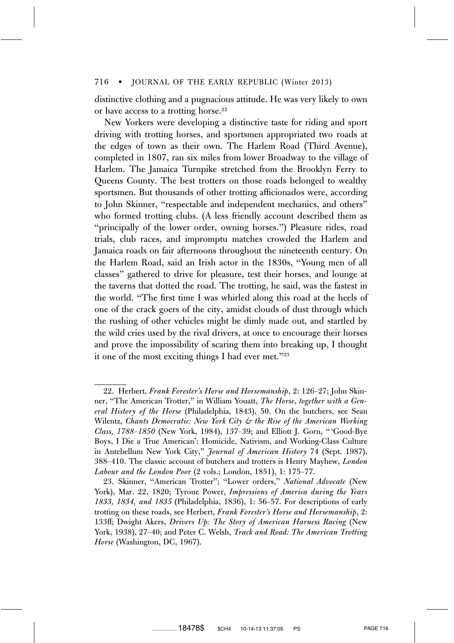distinctive clothing and a pugnacious attitude. He was very likely to own or have access to a trotting horse.<sup>22</sup>

New Yorkers were developing a distinctive taste for riding and sport driving with trotting horses, and sportsmen appropriated two roads at the edges of town as their own. The Harlem Road (Third Avenue), completed in 1807, ran six miles from lower Broadway to the village of Harlem. The Jamaica Turnpike stretched from the Brooklyn Ferry to Queens County. The best trotters on those roads belonged to wealthy sportsmen. But thousands of other trotting afficionados were, according to John Skinner, ''respectable and independent mechanics, and others'' who formed trotting clubs. (A less friendly account described them as "principally of the lower order, owning horses.") Pleasure rides, road trials, club races, and impromptu matches crowded the Harlem and Jamaica roads on fair afternoons throughout the nineteenth century. On the Harlem Road, said an Irish actor in the 1830s, ''Young men of all classes'' gathered to drive for pleasure, test their horses, and lounge at the taverns that dotted the road. The trotting, he said, was the fastest in the world. ''The first time I was whirled along this road at the heels of one of the crack goers of the city, amidst clouds of dust through which the rushing of other vehicles might be dimly made out, and startled by the wild cries used by the rival drivers, at once to encourage their horses and prove the impossibility of scaring them into breaking up, I thought it one of the most exciting things I had ever met."23

<sup>22.</sup> Herbert, *Frank Forester's Horse and Horsemanship*, 2: 126–27; John Skinner, ''The American Trotter,'' in William Youatt, *The Horse*, *together with a General History of the Horse* (Philadelphia, 1843), 50. On the butchers, see Sean Wilentz, *Chants Democratic: New York City & the Rise of the American Working Class, 1788–1850* (New York, 1984), 137–39; and Elliott J. Gorn, '' 'Good-Bye Boys, I Die a True American': Homicide, Nativism, and Working-Class Culture in Antebellum New York City,'' *Journal of American History* 74 (Sept. 1987), 388–410. The classic account of butchers and trotters is Henry Mayhew, *London Labour and the London Poor* (2 vols.; London, 1851), 1: 175–77.

<sup>23.</sup> Skinner, ''American Trotter''; ''Lower orders,'' *National Advocate* (New York), Mar. 22, 1820; Tyrone Power, *Impressions of America during the Years 1833, 1834, and 1835* (Philadelphia, 1836), 1: 56–57. For descriptions of early trotting on these roads, see Herbert, *Frank Forester's Horse and Horsemanship*, 2: 133ff; Dwight Akers, *Drivers Up: The Story of American Harness Racing* (New York, 1938), 27–40; and Peter C. Welsh, *Track and Road: The American Trotting Horse* (Washington, DC, 1967).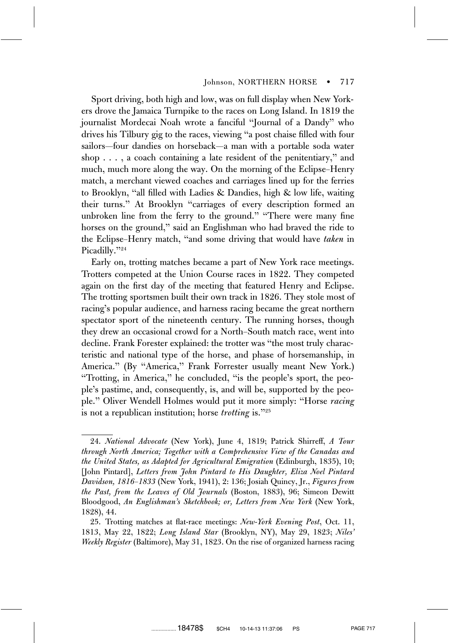Sport driving, both high and low, was on full display when New Yorkers drove the Jamaica Turnpike to the races on Long Island. In 1819 the journalist Mordecai Noah wrote a fanciful ''Journal of a Dandy'' who drives his Tilbury gig to the races, viewing ''a post chaise filled with four sailors—four dandies on horseback—a man with a portable soda water shop . . . , a coach containing a late resident of the penitentiary,'' and much, much more along the way. On the morning of the Eclipse–Henry match, a merchant viewed coaches and carriages lined up for the ferries to Brooklyn, ''all filled with Ladies & Dandies, high & low life, waiting their turns.'' At Brooklyn ''carriages of every description formed an unbroken line from the ferry to the ground." "There were many fine horses on the ground,'' said an Englishman who had braved the ride to the Eclipse–Henry match, ''and some driving that would have *taken* in Picadilly."<sup>24</sup>

Early on, trotting matches became a part of New York race meetings. Trotters competed at the Union Course races in 1822. They competed again on the first day of the meeting that featured Henry and Eclipse. The trotting sportsmen built their own track in 1826. They stole most of racing's popular audience, and harness racing became the great northern spectator sport of the nineteenth century. The running horses, though they drew an occasional crowd for a North–South match race, went into decline. Frank Forester explained: the trotter was ''the most truly characteristic and national type of the horse, and phase of horsemanship, in America.'' (By ''America,'' Frank Forrester usually meant New York.) ''Trotting, in America,'' he concluded, ''is the people's sport, the people's pastime, and, consequently, is, and will be, supported by the people.'' Oliver Wendell Holmes would put it more simply: ''Horse *racing* is not a republican institution; horse *trotting* is.''25

<sup>24.</sup> *National Advocate* (New York), June 4, 1819; Patrick Shirreff, *A Tour through North America; Together with a Comprehensive View of the Canadas and the United States, as Adapted for Agricultural Emigration* (Edinburgh, 1835), 10; [John Pintard], *Letters from John Pintard to His Daughter, Eliza Noel Pintard Davidson, 1816–1833* (New York, 1941), 2: 136; Josiah Quincy, Jr., *Figures from the Past, from the Leaves of Old Journals* (Boston, 1883), 96; Simeon Dewitt Bloodgood, *An Englishman's Sketchbook; or, Letters from New York* (New York, 1828), 44.

<sup>25.</sup> Trotting matches at flat-race meetings: *New-York Evening Post*, Oct. 11, 1813, May 22, 1822; *Long Island Star* (Brooklyn, NY), May 29, 1823; *Niles' Weekly Register* (Baltimore), May 31, 1823. On the rise of organized harness racing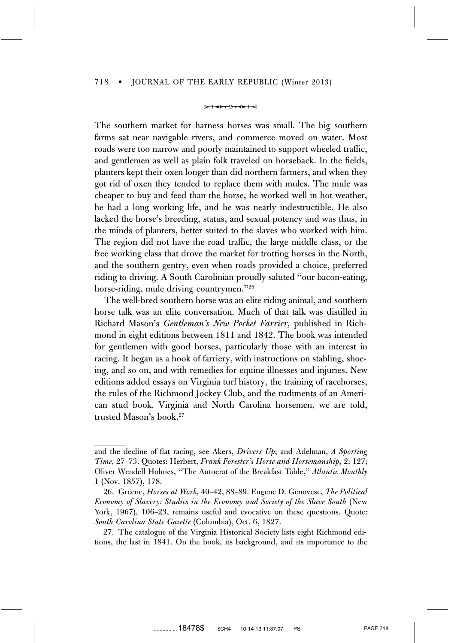#### <del>≻+∢≻+⊖+≺⊧</del>≺

The southern market for harness horses was small. The big southern farms sat near navigable rivers, and commerce moved on water. Most roads were too narrow and poorly maintained to support wheeled traffic, and gentlemen as well as plain folk traveled on horseback. In the fields, planters kept their oxen longer than did northern farmers, and when they got rid of oxen they tended to replace them with mules. The mule was cheaper to buy and feed than the horse, he worked well in hot weather, he had a long working life, and he was nearly indestructible. He also lacked the horse's breeding, status, and sexual potency and was thus, in the minds of planters, better suited to the slaves who worked with him. The region did not have the road traffic, the large middle class, or the free working class that drove the market for trotting horses in the North, and the southern gentry, even when roads provided a choice, preferred riding to driving. A South Carolinian proudly saluted ''our bacon-eating, horse-riding, mule driving countrymen."26

The well-bred southern horse was an elite riding animal, and southern horse talk was an elite conversation. Much of that talk was distilled in Richard Mason's *Gentleman's New Pocket Farrier,* published in Richmond in eight editions between 1811 and 1842. The book was intended for gentlemen with good horses, particularly those with an interest in racing. It began as a book of farriery, with instructions on stabling, shoeing, and so on, and with remedies for equine illnesses and injuries. New editions added essays on Virginia turf history, the training of racehorses, the rules of the Richmond Jockey Club, and the rudiments of an American stud book. Virginia and North Carolina horsemen, we are told, trusted Mason's book.27

27. The catalogue of the Virginia Historical Society lists eight Richmond editions, the last in 1841. On the book, its background, and its importance to the

and the decline of flat racing, see Akers, *Drivers Up*; and Adelman, *A Sporting Time,* 27–73. Quotes: Herbert, *Frank Forester's Horse and Horsemanship,* 2: 127; Oliver Wendell Holmes, ''The Autocrat of the Breakfast Table,'' *Atlantic Monthly* 1 (Nov. 1857), 178.

<sup>26.</sup> Greene, *Horses at Work,* 40–42, 88–89. Eugene D. Genovese, *The Political Economy of Slavery: Studies in the Economy and Society of the Slave South* (New York, 1967), 106–23, remains useful and evocative on these questions. Quote: *South Carolina State Gazette* (Columbia), Oct. 6, 1827.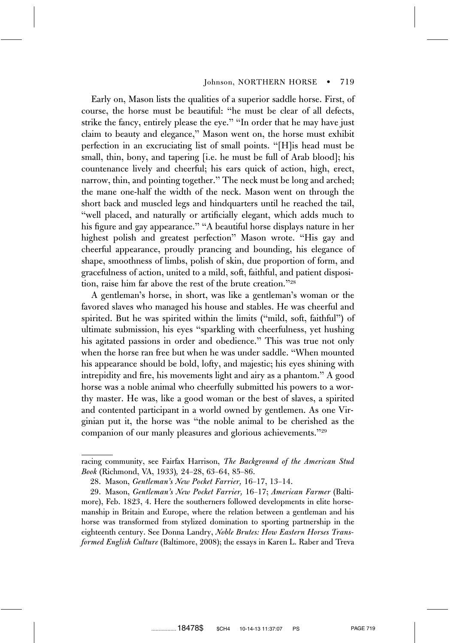Early on, Mason lists the qualities of a superior saddle horse. First, of course, the horse must be beautiful: ''he must be clear of all defects, strike the fancy, entirely please the eye.'' ''In order that he may have just claim to beauty and elegance,'' Mason went on, the horse must exhibit perfection in an excruciating list of small points. ''[H]is head must be small, thin, bony, and tapering [i.e. he must be full of Arab blood]; his countenance lively and cheerful; his ears quick of action, high, erect, narrow, thin, and pointing together.'' The neck must be long and arched; the mane one-half the width of the neck. Mason went on through the short back and muscled legs and hindquarters until he reached the tail, ''well placed, and naturally or artificially elegant, which adds much to his figure and gay appearance.'' ''A beautiful horse displays nature in her highest polish and greatest perfection'' Mason wrote. ''His gay and cheerful appearance, proudly prancing and bounding, his elegance of shape, smoothness of limbs, polish of skin, due proportion of form, and gracefulness of action, united to a mild, soft, faithful, and patient disposition, raise him far above the rest of the brute creation.''28

A gentleman's horse, in short, was like a gentleman's woman or the favored slaves who managed his house and stables. He was cheerful and spirited. But he was spirited within the limits (''mild, soft, faithful'') of ultimate submission, his eyes ''sparkling with cheerfulness, yet hushing his agitated passions in order and obedience.'' This was true not only when the horse ran free but when he was under saddle. ''When mounted his appearance should be bold, lofty, and majestic; his eyes shining with intrepidity and fire, his movements light and airy as a phantom.'' A good horse was a noble animal who cheerfully submitted his powers to a worthy master. He was, like a good woman or the best of slaves, a spirited and contented participant in a world owned by gentlemen. As one Virginian put it, the horse was ''the noble animal to be cherished as the companion of our manly pleasures and glorious achievements."<sup>299</sup>

racing community, see Fairfax Harrison, *The Background of the American Stud Book* (Richmond, VA, 1933)*,* 24–28, 63–64, 85–86.

<sup>28.</sup> Mason, *Gentleman's New Pocket Farrier,* 16–17, 13–14.

<sup>29.</sup> Mason, *Gentleman's New Pocket Farrier,* 16–17; *American Farmer* (Baltimore), Feb. 1823, 4. Here the southerners followed developments in elite horsemanship in Britain and Europe, where the relation between a gentleman and his horse was transformed from stylized domination to sporting partnership in the eighteenth century. See Donna Landry, *Noble Brutes: How Eastern Horses Transformed English Culture* (Baltimore, 2008); the essays in Karen L. Raber and Treva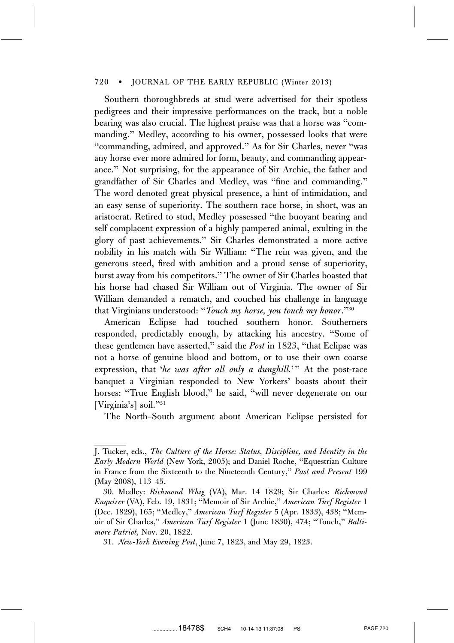### 720 • JOURNAL OF THE EARLY REPUBLIC (Winter 2013)

Southern thoroughbreds at stud were advertised for their spotless pedigrees and their impressive performances on the track, but a noble bearing was also crucial. The highest praise was that a horse was ''commanding.'' Medley, according to his owner, possessed looks that were ''commanding, admired, and approved.'' As for Sir Charles, never ''was any horse ever more admired for form, beauty, and commanding appearance.'' Not surprising, for the appearance of Sir Archie, the father and grandfather of Sir Charles and Medley, was ''fine and commanding.'' The word denoted great physical presence, a hint of intimidation, and an easy sense of superiority. The southern race horse, in short, was an aristocrat. Retired to stud, Medley possessed ''the buoyant bearing and self complacent expression of a highly pampered animal, exulting in the glory of past achievements.'' Sir Charles demonstrated a more active nobility in his match with Sir William: ''The rein was given, and the generous steed, fired with ambition and a proud sense of superiority, burst away from his competitors.'' The owner of Sir Charles boasted that his horse had chased Sir William out of Virginia. The owner of Sir William demanded a rematch, and couched his challenge in language that Virginians understood: ''*Touch my horse, you touch my honor*.''30

American Eclipse had touched southern honor. Southerners responded, predictably enough, by attacking his ancestry. ''Some of these gentlemen have asserted,'' said the *Post* in 1823, ''that Eclipse was not a horse of genuine blood and bottom, or to use their own coarse expression, that 'he was after all only a dunghill.'" At the post-race banquet a Virginian responded to New Yorkers' boasts about their horses: ''True English blood,'' he said, ''will never degenerate on our [Virginia's] soil."31

The North–South argument about American Eclipse persisted for

J. Tucker, eds., *The Culture of the Horse: Status, Discipline, and Identity in the Early Modern World* (New York, 2005); and Daniel Roche, ''Equestrian Culture in France from the Sixteenth to the Nineteenth Century,'' *Past and Present* 199 (May 2008), 113–45.

<sup>30.</sup> Medley: *Richmond Whig* (VA), Mar. 14 1829; Sir Charles: *Richmond Enquirer* (VA), Feb. 19, 1831; ''Memoir of Sir Archie,'' *American Turf Register* 1 (Dec. 1829), 165; ''Medley,'' *American Turf Register* 5 (Apr. 1833), 438; ''Memoir of Sir Charles,'' *American Turf Register* 1 (June 1830), 474; ''Touch,'' *Baltimore Patriot,* Nov. 20, 1822.

<sup>31.</sup> *New-York Evening Post*, June 7, 1823, and May 29, 1823.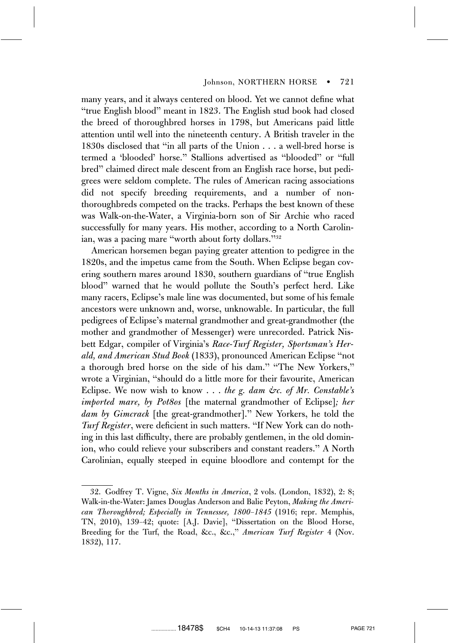many years, and it always centered on blood. Yet we cannot define what ''true English blood'' meant in 1823. The English stud book had closed the breed of thoroughbred horses in 1798, but Americans paid little attention until well into the nineteenth century. A British traveler in the 1830s disclosed that ''in all parts of the Union ...a well-bred horse is termed a 'blooded' horse.'' Stallions advertised as ''blooded'' or ''full bred'' claimed direct male descent from an English race horse, but pedigrees were seldom complete. The rules of American racing associations did not specify breeding requirements, and a number of nonthoroughbreds competed on the tracks. Perhaps the best known of these was Walk-on-the-Water, a Virginia-born son of Sir Archie who raced successfully for many years. His mother, according to a North Carolinian, was a pacing mare "worth about forty dollars."<sup>32</sup>

American horsemen began paying greater attention to pedigree in the 1820s, and the impetus came from the South. When Eclipse began covering southern mares around 1830, southern guardians of ''true English blood'' warned that he would pollute the South's perfect herd. Like many racers, Eclipse's male line was documented, but some of his female ancestors were unknown and, worse, unknowable. In particular, the full pedigrees of Eclipse's maternal grandmother and great-grandmother (the mother and grandmother of Messenger) were unrecorded. Patrick Nisbett Edgar, compiler of Virginia's *Race-Turf Register, Sportsman's Herald, and American Stud Book* (1833), pronounced American Eclipse ''not a thorough bred horse on the side of his dam.'' ''The New Yorkers,'' wrote a Virginian, ''should do a little more for their favourite, American Eclipse. We now wish to know . . . *the g. dam &c. of Mr. Constable's imported mare, by Pot8os* [the maternal grandmother of Eclipse]*; her dam by Gimcrack* [the great-grandmother].'' New Yorkers, he told the *Turf Register*, were deficient in such matters. ''If New York can do nothing in this last difficulty, there are probably gentlemen, in the old dominion, who could relieve your subscribers and constant readers.'' A North Carolinian, equally steeped in equine bloodlore and contempt for the

<sup>32.</sup> Godfrey T. Vigne, *Six Months in America*, 2 vols. (London, 1832), 2: 8; Walk-in-the-Water: James Douglas Anderson and Balie Peyton, *Making the American Thoroughbred; Especially in Tennessee, 1800–1845* (1916; repr. Memphis, TN, 2010), 139–42; quote: [A.J. Davie], ''Dissertation on the Blood Horse, Breeding for the Turf, the Road, &c., &c.,'' *American Turf Register* 4 (Nov. 1832), 117.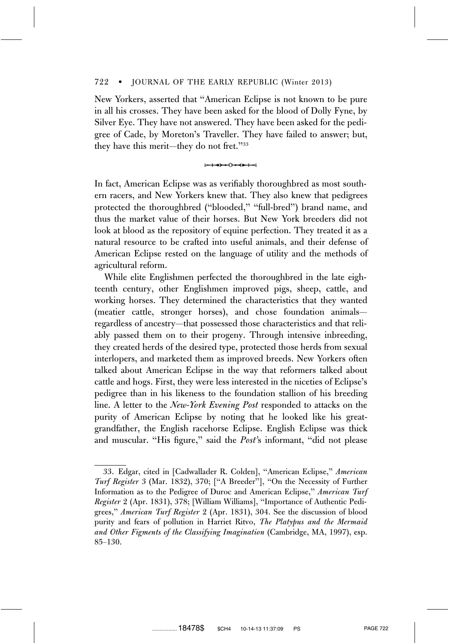### 722 • JOURNAL OF THE EARLY REPUBLIC (Winter 2013)

New Yorkers, asserted that ''American Eclipse is not known to be pure in all his crosses. They have been asked for the blood of Dolly Fyne, by Silver Eye. They have not answered. They have been asked for the pedigree of Cade, by Moreton's Traveller. They have failed to answer; but, they have this merit—they do not fret.'' Traveller. The<br>
post fret."<sup>33</sup><br>
post registered 33

In fact, American Eclipse was as verifiably thoroughbred as most southern racers, and New Yorkers knew that. They also knew that pedigrees protected the thoroughbred ("blooded," "full-bred") brand name, and thus the market value of their horses. But New York breeders did not look at blood as the repository of equine perfection. They treated it as a natural resource to be crafted into useful animals, and their defense of American Eclipse rested on the language of utility and the methods of agricultural reform.

While elite Englishmen perfected the thoroughbred in the late eighteenth century, other Englishmen improved pigs, sheep, cattle, and working horses. They determined the characteristics that they wanted (meatier cattle, stronger horses), and chose foundation animals regardless of ancestry—that possessed those characteristics and that reliably passed them on to their progeny. Through intensive inbreeding, they created herds of the desired type, protected those herds from sexual interlopers, and marketed them as improved breeds. New Yorkers often talked about American Eclipse in the way that reformers talked about cattle and hogs. First, they were less interested in the niceties of Eclipse's pedigree than in his likeness to the foundation stallion of his breeding line. A letter to the *New-York Evening Post* responded to attacks on the purity of American Eclipse by noting that he looked like his greatgrandfather, the English racehorse Eclipse. English Eclipse was thick and muscular. ''His figure,'' said the *Post'*s informant, ''did not please

<sup>33.</sup> Edgar, cited in [Cadwallader R. Colden], ''American Eclipse,'' *American Turf Register* 3 (Mar. 1832), 370; [''A Breeder''], ''On the Necessity of Further Information as to the Pedigree of Duroc and American Eclipse,'' *American Turf Register* 2 (Apr. 1831), 378; [William Williams], ''Importance of Authentic Pedigrees,'' *American Turf Register* 2 (Apr. 1831), 304. See the discussion of blood purity and fears of pollution in Harriet Ritvo, *The Platypus and the Mermaid and Other Figments of the Classifying Imagination* (Cambridge, MA, 1997), esp. 85–130.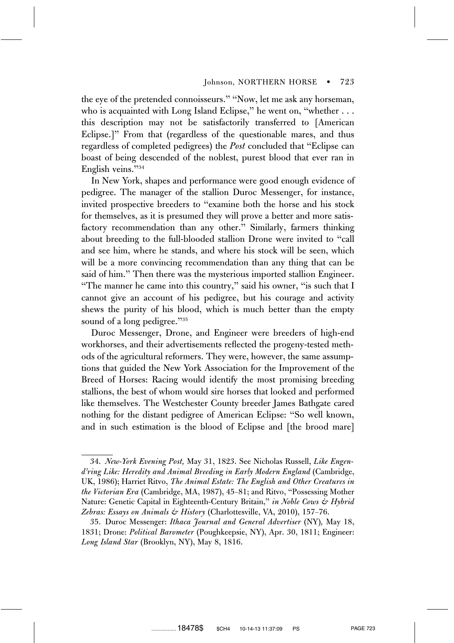the eye of the pretended connoisseurs.'' ''Now, let me ask any horseman, who is acquainted with Long Island Eclipse," he went on, "whether . . . this description may not be satisfactorily transferred to [American Eclipse.]'' From that (regardless of the questionable mares, and thus regardless of completed pedigrees) the *Post* concluded that ''Eclipse can boast of being descended of the noblest, purest blood that ever ran in English veins."34

In New York, shapes and performance were good enough evidence of pedigree. The manager of the stallion Duroc Messenger, for instance, invited prospective breeders to ''examine both the horse and his stock for themselves, as it is presumed they will prove a better and more satisfactory recommendation than any other.'' Similarly, farmers thinking about breeding to the full-blooded stallion Drone were invited to ''call and see him, where he stands, and where his stock will be seen, which will be a more convincing recommendation than any thing that can be said of him.'' Then there was the mysterious imported stallion Engineer. "The manner he came into this country," said his owner, "is such that I cannot give an account of his pedigree, but his courage and activity shews the purity of his blood, which is much better than the empty sound of a long pedigree."35

Duroc Messenger, Drone, and Engineer were breeders of high-end workhorses, and their advertisements reflected the progeny-tested methods of the agricultural reformers. They were, however, the same assumptions that guided the New York Association for the Improvement of the Breed of Horses: Racing would identify the most promising breeding stallions, the best of whom would sire horses that looked and performed like themselves. The Westchester County breeder James Bathgate cared nothing for the distant pedigree of American Eclipse: ''So well known, and in such estimation is the blood of Eclipse and [the brood mare]

<sup>34.</sup> *New-York Evening Post,* May 31, 1823. See Nicholas Russell, *Like Engend'ring Like: Heredity and Animal Breeding in Early Modern England* (Cambridge, UK, 1986); Harriet Ritvo, *The Animal Estate: The English and Other Creatures in the Victorian Era* (Cambridge, MA, 1987), 45–81; and Ritvo, ''Possessing Mother Nature: Genetic Capital in Eighteenth-Century Britain,'' *in Noble Cows & Hybrid Zebras: Essays on Animals & History* (Charlottesville, VA, 2010), 157–76.

<sup>35.</sup> Duroc Messenger: *Ithaca Journal and General Advertiser* (NY)*,* May 18, 1831; Drone: *Political Barometer* (Poughkeepsie, NY), Apr. 30, 1811; Engineer: *Long Island Star* (Brooklyn, NY), May 8, 1816.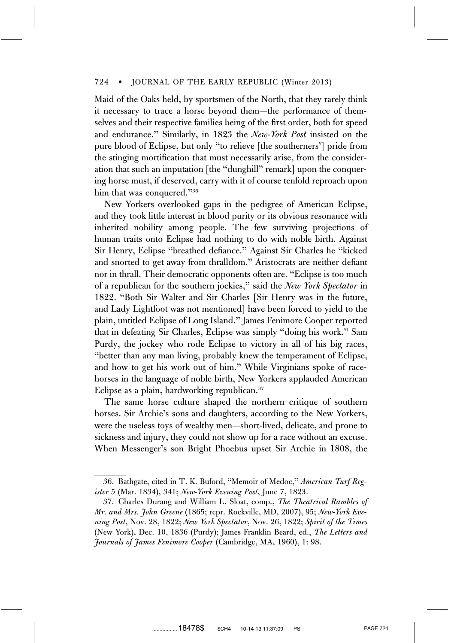Maid of the Oaks held, by sportsmen of the North, that they rarely think it necessary to trace a horse beyond them—the performance of themselves and their respective families being of the first order, both for speed and endurance.'' Similarly, in 1823 the *New-York Post* insisted on the pure blood of Eclipse, but only ''to relieve [the southerners'] pride from the stinging mortification that must necessarily arise, from the consideration that such an imputation [the ''dunghill'' remark] upon the conquering horse must, if deserved, carry with it of course tenfold reproach upon him that was conquered."36

New Yorkers overlooked gaps in the pedigree of American Eclipse, and they took little interest in blood purity or its obvious resonance with inherited nobility among people. The few surviving projections of human traits onto Eclipse had nothing to do with noble birth. Against Sir Henry, Eclipse ''breathed defiance.'' Against Sir Charles he ''kicked and snorted to get away from thralldom.'' Aristocrats are neither defiant nor in thrall. Their democratic opponents often are. ''Eclipse is too much of a republican for the southern jockies,'' said the *New York Spectator* in 1822. ''Both Sir Walter and Sir Charles [Sir Henry was in the future, and Lady Lightfoot was not mentioned] have been forced to yield to the plain, untitled Eclipse of Long Island.'' James Fenimore Cooper reported that in defeating Sir Charles, Eclipse was simply ''doing his work.'' Sam Purdy, the jockey who rode Eclipse to victory in all of his big races, ''better than any man living, probably knew the temperament of Eclipse, and how to get his work out of him.'' While Virginians spoke of racehorses in the language of noble birth, New Yorkers applauded American Eclipse as a plain, hardworking republican.<sup>37</sup>

The same horse culture shaped the northern critique of southern horses. Sir Archie's sons and daughters, according to the New Yorkers, were the useless toys of wealthy men—short-lived, delicate, and prone to sickness and injury, they could not show up for a race without an excuse. When Messenger's son Bright Phoebus upset Sir Archie in 1808, the

<sup>36.</sup> Bathgate, cited in T. K. Buford, ''Memoir of Medoc,'' *American Turf Register* 5 (Mar. 1834), 341; *New-York Evening Post*, June 7, 1823.

<sup>37.</sup> Charles Durang and William L. Sloat, comp., *The Theatrical Rambles of Mr. and Mrs. John Greene* (1865; repr. Rockville, MD, 2007), 95; *New-York Evening Post*, Nov. 28, 1822; *New York Spectator*, Nov. 26, 1822; *Spirit of the Times* (New York), Dec. 10, 1836 (Purdy); James Franklin Beard, ed., *The Letters and Journals of James Fenimore Cooper* (Cambridge, MA, 1960), 1: 98.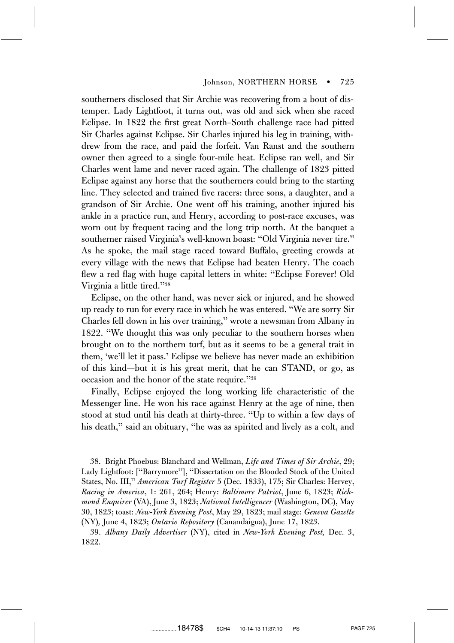southerners disclosed that Sir Archie was recovering from a bout of distemper. Lady Lightfoot, it turns out, was old and sick when she raced Eclipse. In 1822 the first great North–South challenge race had pitted Sir Charles against Eclipse. Sir Charles injured his leg in training, withdrew from the race, and paid the forfeit. Van Ranst and the southern owner then agreed to a single four-mile heat. Eclipse ran well, and Sir Charles went lame and never raced again. The challenge of 1823 pitted Eclipse against any horse that the southerners could bring to the starting line. They selected and trained five racers: three sons, a daughter, and a grandson of Sir Archie. One went off his training, another injured his ankle in a practice run, and Henry, according to post-race excuses, was worn out by frequent racing and the long trip north. At the banquet a southerner raised Virginia's well-known boast: ''Old Virginia never tire.'' As he spoke, the mail stage raced toward Buffalo, greeting crowds at every village with the news that Eclipse had beaten Henry. The coach flew a red flag with huge capital letters in white: ''Eclipse Forever! Old Virginia a little tired.''38

Eclipse, on the other hand, was never sick or injured, and he showed up ready to run for every race in which he was entered. ''We are sorry Sir Charles fell down in his over training,'' wrote a newsman from Albany in 1822. ''We thought this was only peculiar to the southern horses when brought on to the northern turf, but as it seems to be a general trait in them, 'we'll let it pass.' Eclipse we believe has never made an exhibition of this kind—but it is his great merit, that he can STAND, or go, as occasion and the honor of the state require.''39

Finally, Eclipse enjoyed the long working life characteristic of the Messenger line. He won his race against Henry at the age of nine, then stood at stud until his death at thirty-three. ''Up to within a few days of his death,'' said an obituary, ''he was as spirited and lively as a colt, and

<sup>38.</sup> Bright Phoebus: Blanchard and Wellman, *Life and Times of Sir Archie*, 29; Lady Lightfoot: [''Barrymore''], ''Dissertation on the Blooded Stock of the United States, No. III,'' *American Turf Register* 5 (Dec. 1833), 175; Sir Charles: Hervey, *Racing in America*, 1: 261, 264; Henry: *Baltimore Patriot*, June 6, 1823; *Richmond Enquirer* (VA), June 3, 1823; *National Intelligencer* (Washington, DC), May 30, 1823; toast: *New-York Evening Post*, May 29, 1823; mail stage: *Geneva Gazette* (NY)*,* June 4, 1823; *Ontario Repository* (Canandaigua), June 17, 1823.

<sup>39.</sup> *Albany Daily Advertiser* (NY), cited in *New-York Evening Post,* Dec. 3, 1822.